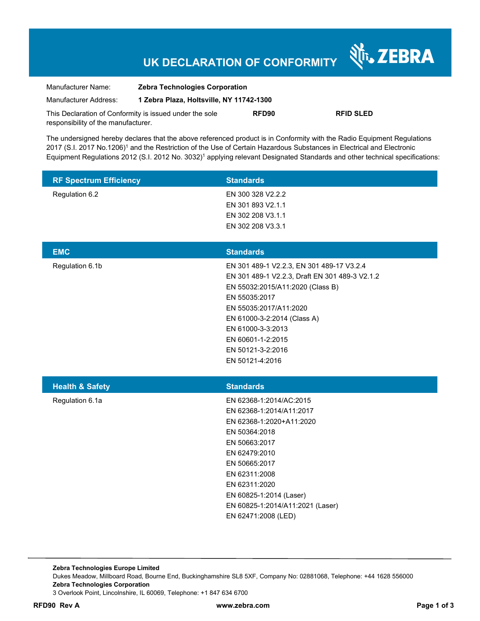# **UK DECLARATION OF CONFORMITY**

Nr. ZEBRA

| Manufacturer Name:                                      | <b>Zebra Technologies Corporation</b>    |       |                  |
|---------------------------------------------------------|------------------------------------------|-------|------------------|
| Manufacturer Address:                                   | 1 Zebra Plaza, Holtsville, NY 11742-1300 |       |                  |
| This Declaration of Conformity is issued under the sole |                                          | RFD90 | <b>RFID SLED</b> |
| responsibility of the manufacturer.                     |                                          |       |                  |

The undersigned hereby declares that the above referenced product is in Conformity with the Radio Equipment Regulations 2017 (S.I. 2017 No.1206)<sup>1</sup> and the Restriction of the Use of Certain Hazardous Substances in Electrical and Electronic Equipment Regulations 2012 (S.I. 2012 No. 3032)<sup>1</sup> applying relevant Designated Standards and other technical specifications:

| <b>RF Spectrum Efficiency</b> | <b>Standards</b>                                                                                                                                                                                                                                                                            |
|-------------------------------|---------------------------------------------------------------------------------------------------------------------------------------------------------------------------------------------------------------------------------------------------------------------------------------------|
| Regulation 6.2                | EN 300 328 V2.2.2<br>EN 301 893 V2.1.1<br>EN 302 208 V3.1.1<br>EN 302 208 V3.3.1                                                                                                                                                                                                            |
| <b>EMC</b>                    | <b>Standards</b>                                                                                                                                                                                                                                                                            |
| Regulation 6.1b               | EN 301 489-1 V2.2.3, EN 301 489-17 V3.2.4<br>EN 301 489-1 V2.2.3, Draft EN 301 489-3 V2.1.2<br>EN 55032:2015/A11:2020 (Class B)<br>EN 55035:2017<br>EN 55035:2017/A11:2020<br>EN 61000-3-2:2014 (Class A)<br>EN 61000-3-3:2013<br>EN 60601-1-2:2015<br>EN 50121-3-2:2016<br>EN 50121-4:2016 |
| <b>Health &amp; Safety</b>    | <b>Standards</b>                                                                                                                                                                                                                                                                            |
| Regulation 6.1a               | EN 62368-1:2014/AC:2015<br>EN 62368-1:2014/A11:2017<br>EN 62368-1:2020+A11:2020<br>EN 50364:2018<br>EN 50663:2017<br>EN 62479:2010<br>EN 50665:2017<br>EN 62311:2008<br>EN 62311:2020<br>EN 60825-1:2014 (Laser)<br>EN 60825-1:2014/A11:2021 (Laser)<br>EN 62471:2008 (LED)                 |

**RFD90 Rev A www.zebra.com Page 1 of 3**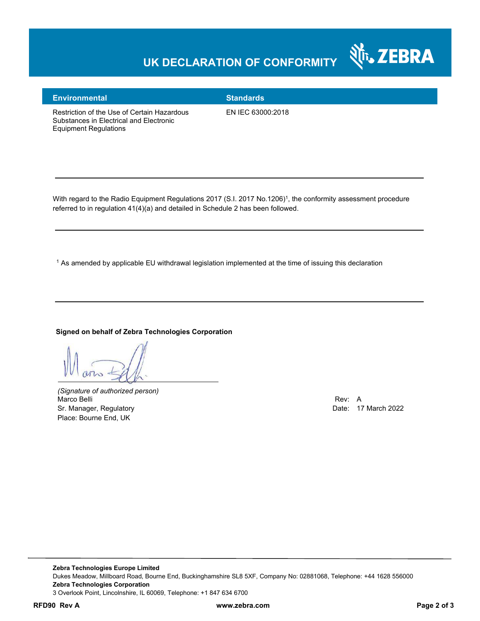# **UK DECLARATION OF CONFORMITY**



### **Environmental Standards**

Equipment Regulations

Restriction of the Use of Certain Hazardous Substances in Electrical and Electronic

EN IEC 63000:2018

With regard to the Radio Equipment Regulations 2017 (S.I. 2017 No.1206)<sup>1</sup>, the conformity assessment procedure referred to in regulation 41(4)(a) and detailed in Schedule 2 has been followed.

 $^{\rm 1}$  As amended by applicable EU withdrawal legislation implemented at the time of issuing this declaration

#### **Signed on behalf of Zebra Technologies Corporation**

*(Signature of authorized person)* Marco Belli Rev: A Sr. Manager, Regulatory **Date: 17 March 2022** Place: Bourne End, UK